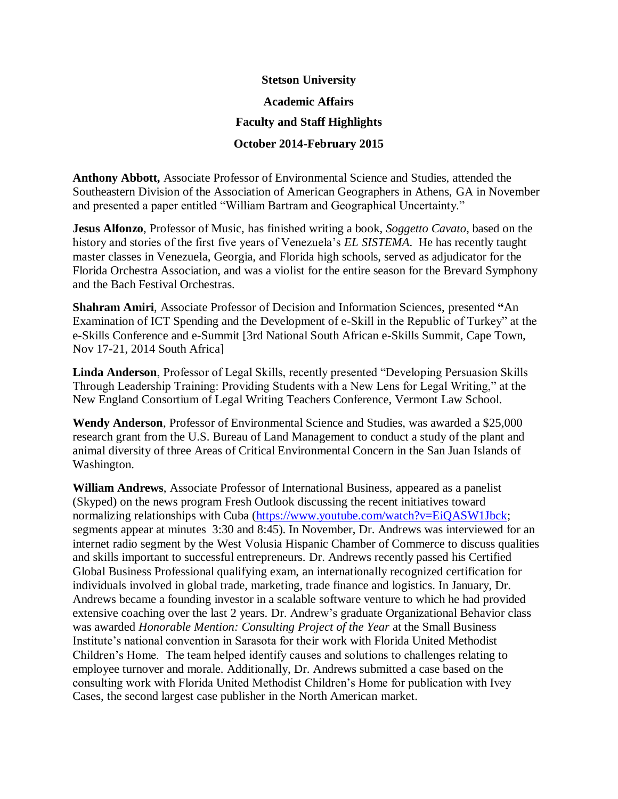## **Stetson University Academic Affairs Faculty and Staff Highlights October 2014-February 2015**

**Anthony Abbott,** Associate Professor of Environmental Science and Studies, attended the Southeastern Division of the Association of American Geographers in Athens, GA in November and presented a paper entitled "William Bartram and Geographical Uncertainty."

**Jesus Alfonzo**, Professor of Music, has finished writing a book, *Soggetto Cavato*, based on the history and stories of the first five years of Venezuela's *EL SISTEMA*. He has recently taught master classes in Venezuela, Georgia, and Florida high schools, served as adjudicator for the Florida Orchestra Association, and was a violist for the entire season for the Brevard Symphony and the Bach Festival Orchestras.

**Shahram Amiri**, Associate Professor of Decision and Information Sciences, presented **"**An Examination of ICT Spending and the Development of e-Skill in the Republic of Turkey" at the e-Skills Conference and e-Summit [3rd National South African e-Skills Summit, Cape Town, Nov 17-21, 2014 South Africa]

**Linda Anderson**, Professor of Legal Skills, recently presented "Developing Persuasion Skills Through Leadership Training: Providing Students with a New Lens for Legal Writing," at the New England Consortium of Legal Writing Teachers Conference, Vermont Law School.

**Wendy Anderson**, Professor of Environmental Science and Studies, was awarded a \$25,000 research grant from the U.S. Bureau of Land Management to conduct a study of the plant and animal diversity of three Areas of Critical Environmental Concern in the San Juan Islands of Washington.

**William Andrews**, Associate Professor of International Business, appeared as a panelist (Skyped) on the news program Fresh Outlook discussing the recent initiatives toward normalizing relationships with Cuba [\(https://www.youtube.com/watch?v=EiQASW1Jbck;](https://www.youtube.com/watch?v=EiQASW1Jbck) segments appear at minutes 3:30 and 8:45). In November, Dr. Andrews was interviewed for an internet radio segment by the West Volusia Hispanic Chamber of Commerce to discuss qualities and skills important to successful entrepreneurs. Dr. Andrews recently passed his Certified Global Business Professional qualifying exam, an internationally recognized certification for individuals involved in global trade, marketing, trade finance and logistics. In January, Dr. Andrews became a founding investor in a scalable software venture to which he had provided extensive coaching over the last 2 years. Dr. Andrew's graduate Organizational Behavior class was awarded *Honorable Mention: Consulting Project of the Year* at the Small Business Institute's national convention in Sarasota for their work with Florida United Methodist Children's Home. The team helped identify causes and solutions to challenges relating to employee turnover and morale. Additionally, Dr. Andrews submitted a case based on the consulting work with Florida United Methodist Children's Home for publication with Ivey Cases, the second largest case publisher in the North American market.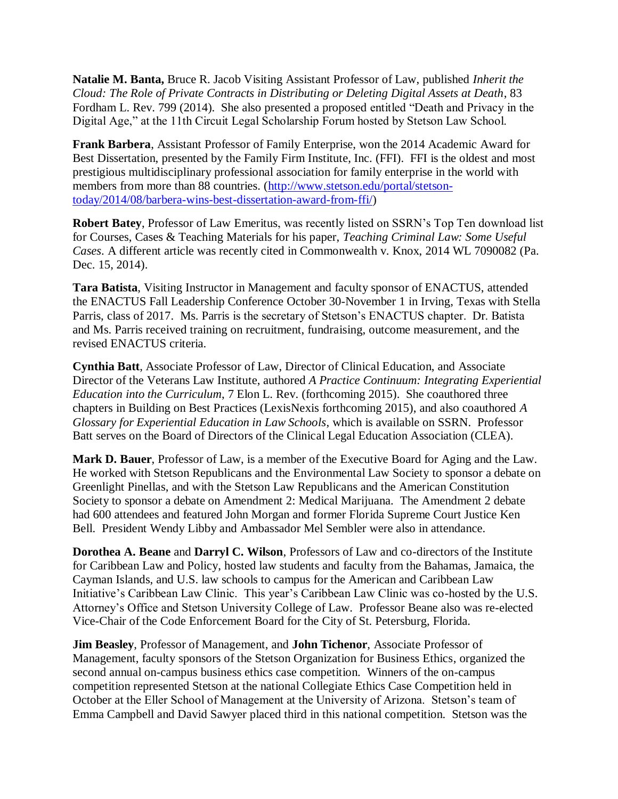**Natalie M. Banta,** Bruce R. Jacob Visiting Assistant Professor of Law, published *Inherit the Cloud: The Role of Private Contracts in Distributing or Deleting Digital Assets at Death*, 83 Fordham L. Rev. 799 (2014). She also presented a proposed entitled "Death and Privacy in the Digital Age," at the 11th Circuit Legal Scholarship Forum hosted by Stetson Law School.

**Frank Barbera**, Assistant Professor of Family Enterprise, won the 2014 Academic Award for Best Dissertation, presented by the Family Firm Institute, Inc. (FFI). FFI is the oldest and most prestigious multidisciplinary professional association for family enterprise in the world with members from more than 88 countries. [\(http://www.stetson.edu/portal/stetson](http://www.stetson.edu/portal/stetson-today/2014/08/barbera-wins-best-dissertation-award-from-ffi/)[today/2014/08/barbera-wins-best-dissertation-award-from-ffi/\)](http://www.stetson.edu/portal/stetson-today/2014/08/barbera-wins-best-dissertation-award-from-ffi/)

**Robert Batey**, Professor of Law Emeritus, was recently listed on SSRN's Top Ten download list for Courses, Cases & Teaching Materials for his paper, *Teaching Criminal Law: Some Useful Cases*. A different article was recently cited in Commonwealth v. Knox, 2014 WL 7090082 (Pa. Dec. 15, 2014).

**Tara Batista**, Visiting Instructor in Management and faculty sponsor of ENACTUS, attended the ENACTUS Fall Leadership Conference October 30-November 1 in Irving, Texas with Stella Parris, class of 2017. Ms. Parris is the secretary of Stetson's ENACTUS chapter. Dr. Batista and Ms. Parris received training on recruitment, fundraising, outcome measurement, and the revised ENACTUS criteria.

**Cynthia Batt**, Associate Professor of Law, Director of Clinical Education, and Associate Director of the Veterans Law Institute, authored *A Practice Continuum: Integrating Experiential Education into the Curriculum*, 7 Elon L. Rev. (forthcoming 2015). She coauthored three chapters in Building on Best Practices (LexisNexis forthcoming 2015), and also coauthored *A Glossary for Experiential Education in Law Schools*, which is available on SSRN. Professor Batt serves on the Board of Directors of the Clinical Legal Education Association (CLEA).

**Mark D. Bauer**, Professor of Law, is a member of the Executive Board for Aging and the Law. He worked with Stetson Republicans and the Environmental Law Society to sponsor a debate on Greenlight Pinellas, and with the Stetson Law Republicans and the American Constitution Society to sponsor a debate on Amendment 2: Medical Marijuana. The Amendment 2 debate had 600 attendees and featured John Morgan and former Florida Supreme Court Justice Ken Bell. President Wendy Libby and Ambassador Mel Sembler were also in attendance.

**Dorothea A. Beane** and **Darryl C. Wilson**, Professors of Law and co-directors of the Institute for Caribbean Law and Policy, hosted law students and faculty from the Bahamas, Jamaica, the Cayman Islands, and U.S. law schools to campus for the American and Caribbean Law Initiative's Caribbean Law Clinic. This year's Caribbean Law Clinic was co-hosted by the U.S. Attorney's Office and Stetson University College of Law. Professor Beane also was re-elected Vice-Chair of the Code Enforcement Board for the City of St. Petersburg, Florida.

**Jim Beasley**, Professor of Management, and **John Tichenor**, Associate Professor of Management, faculty sponsors of the Stetson Organization for Business Ethics, organized the second annual on-campus business ethics case competition. Winners of the on-campus competition represented Stetson at the national Collegiate Ethics Case Competition held in October at the Eller School of Management at the University of Arizona. Stetson's team of Emma Campbell and David Sawyer placed third in this national competition. Stetson was the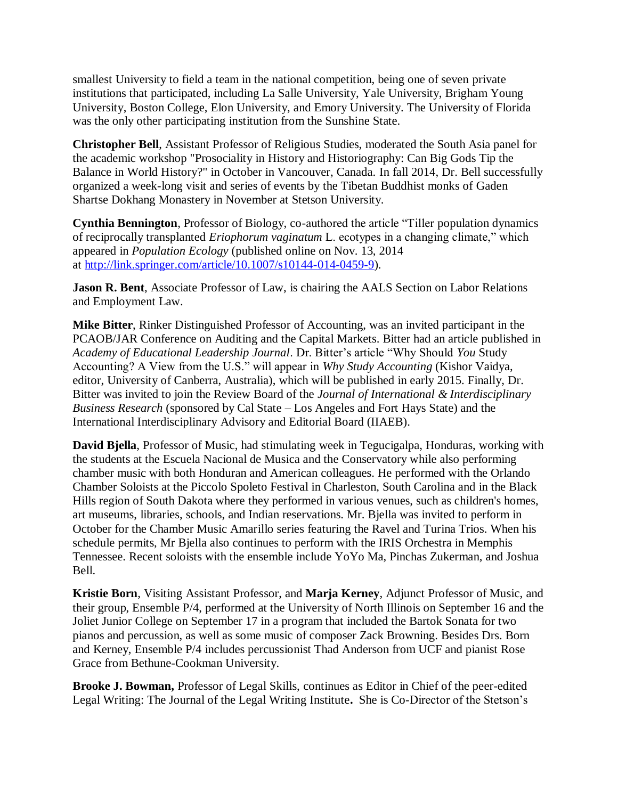smallest University to field a team in the national competition, being one of seven private institutions that participated, including La Salle University, Yale University, Brigham Young University, Boston College, Elon University, and Emory University. The University of Florida was the only other participating institution from the Sunshine State.

**Christopher Bell**, Assistant Professor of Religious Studies, moderated the South Asia panel for the academic workshop "Prosociality in History and Historiography: Can Big Gods Tip the Balance in World History?" in October in Vancouver, Canada. In fall 2014, Dr. Bell successfully organized a week-long visit and series of events by the Tibetan Buddhist monks of Gaden Shartse Dokhang Monastery in November at Stetson University.

**Cynthia Bennington**, Professor of Biology, co-authored the article "Tiller population dynamics of reciprocally transplanted *Eriophorum vaginatum* L. ecotypes in a changing climate," which appeared in *Population Ecology* (published online on Nov. 13, 2014 at [http://link.springer.com/article/10.1007/s10144-014-0459-9\)](http://link.springer.com/article/10.1007/s10144-014-0459-9).

**Jason R. Bent**, Associate Professor of Law, is chairing the AALS Section on Labor Relations and Employment Law.

**Mike Bitter**, Rinker Distinguished Professor of Accounting, was an invited participant in the PCAOB/JAR Conference on Auditing and the Capital Markets. Bitter had an article published in *Academy of Educational Leadership Journal*. Dr. Bitter's article "Why Should *You* Study Accounting? A View from the U.S." will appear in *Why Study Accounting* (Kishor Vaidya, editor, University of Canberra, Australia), which will be published in early 2015. Finally, Dr. Bitter was invited to join the Review Board of the *Journal of International & Interdisciplinary Business Research* (sponsored by Cal State – Los Angeles and Fort Hays State) and the International Interdisciplinary Advisory and Editorial Board (IIAEB).

**David Bjella**, Professor of Music, had stimulating week in Tegucigalpa, Honduras, working with the students at the Escuela Nacional de Musica and the Conservatory while also performing chamber music with both Honduran and American colleagues. He performed with the Orlando Chamber Soloists at the Piccolo Spoleto Festival in Charleston, South Carolina and in the Black Hills region of South Dakota where they performed in various venues, such as children's homes, art museums, libraries, schools, and Indian reservations. Mr. Bjella was invited to perform in October for the Chamber Music Amarillo series featuring the Ravel and Turina Trios. When his schedule permits, Mr Bjella also continues to perform with the IRIS Orchestra in Memphis Tennessee. Recent soloists with the ensemble include YoYo Ma, Pinchas Zukerman, and Joshua Bell.

**Kristie Born**, Visiting Assistant Professor, and **Marja Kerney**, Adjunct Professor of Music, and their group, Ensemble P/4, performed at the University of North Illinois on September 16 and the Joliet Junior College on September 17 in a program that included the Bartok Sonata for two pianos and percussion, as well as some music of composer Zack Browning. Besides Drs. Born and Kerney, Ensemble P/4 includes percussionist Thad Anderson from UCF and pianist Rose Grace from Bethune-Cookman University.

**Brooke J. Bowman,** Professor of Legal Skills, continues as Editor in Chief of the peer-edited Legal Writing: The Journal of the Legal Writing Institute**.** She is Co-Director of the Stetson's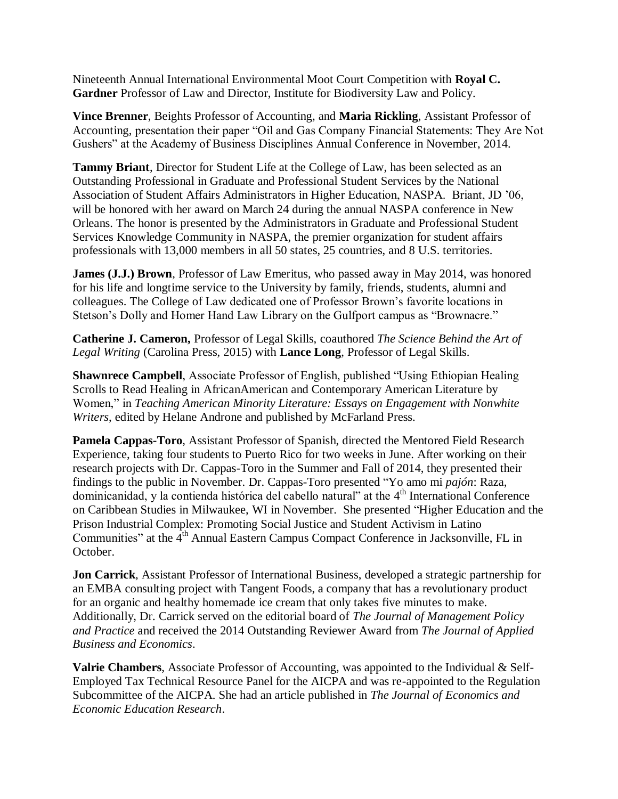Nineteenth Annual International Environmental Moot Court Competition with **Royal C. Gardner** Professor of Law and Director, Institute for Biodiversity Law and Policy.

**Vince Brenner**, Beights Professor of Accounting, and **Maria Rickling**, Assistant Professor of Accounting, presentation their paper "Oil and Gas Company Financial Statements: They Are Not Gushers" at the Academy of Business Disciplines Annual Conference in November, 2014.

**Tammy Briant**, Director for Student Life at the College of Law, has been selected as an Outstanding Professional in Graduate and Professional Student Services by the National Association of Student Affairs Administrators in Higher Education, NASPA. Briant, JD '06, will be honored with her award on March 24 during the annual NASPA conference in New Orleans. The honor is presented by the Administrators in Graduate and Professional Student Services Knowledge Community in NASPA, the premier organization for student affairs professionals with 13,000 members in all 50 states, 25 countries, and 8 U.S. territories.

**James (J.J.) Brown**, Professor of Law Emeritus, who passed away in May 2014, was honored for his life and longtime service to the University by family, friends, students, alumni and colleagues. The College of Law dedicated one of Professor Brown's favorite locations in Stetson's Dolly and Homer Hand Law Library on the Gulfport campus as "Brownacre."

**Catherine J. Cameron,** Professor of Legal Skills, coauthored *The Science Behind the Art of Legal Writing* (Carolina Press, 2015) with **Lance Long**, Professor of Legal Skills.

**Shawnrece Campbell**, Associate Professor of English, published "Using Ethiopian Healing Scrolls to Read Healing in AfricanAmerican and Contemporary American Literature by Women," in *Teaching American Minority Literature: Essays on Engagement with Nonwhite Writers*, edited by Helane Androne and published by McFarland Press.

**Pamela Cappas-Toro**, Assistant Professor of Spanish, directed the Mentored Field Research Experience, taking four students to Puerto Rico for two weeks in June. After working on their research projects with Dr. Cappas-Toro in the Summer and Fall of 2014, they presented their findings to the public in November. Dr. Cappas-Toro presented "Yo amo mi *pajón*: Raza, dominicanidad, y la contienda histórica del cabello natural" at the 4<sup>th</sup> International Conference on Caribbean Studies in Milwaukee, WI in November. She presented "Higher Education and the Prison Industrial Complex: Promoting Social Justice and Student Activism in Latino Communities" at the 4<sup>th</sup> Annual Eastern Campus Compact Conference in Jacksonville, FL in October.

**Jon Carrick**, Assistant Professor of International Business, developed a strategic partnership for an EMBA consulting project with Tangent Foods, a company that has a revolutionary product for an organic and healthy homemade ice cream that only takes five minutes to make. Additionally, Dr. Carrick served on the editorial board of *The Journal of Management Policy and Practice* and received the 2014 Outstanding Reviewer Award from *The Journal of Applied Business and Economics*.

**Valrie Chambers**, Associate Professor of Accounting, was appointed to the Individual & Self-Employed Tax Technical Resource Panel for the AICPA and was re-appointed to the Regulation Subcommittee of the AICPA. She had an article published in *The Journal of Economics and Economic Education Research*.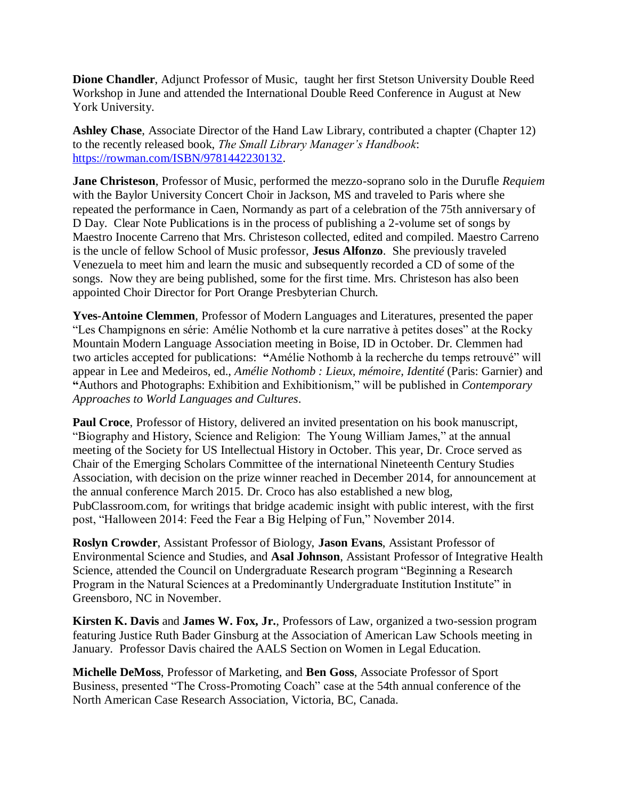**Dione Chandler**, Adjunct Professor of Music, taught her first Stetson University Double Reed Workshop in June and attended the International Double Reed Conference in August at New York University.

**Ashley Chase**, Associate Director of the Hand Law Library, contributed a chapter (Chapter 12) to the recently released book, *The Small Library Manager's Handbook*: [https://rowman.com/ISBN/9781442230132.](https://rowman.com/ISBN/9781442230132)

**Jane Christeson**, Professor of Music, performed the mezzo-soprano solo in the Durufle *Requiem* with the Baylor University Concert Choir in Jackson, MS and traveled to Paris where she repeated the performance in Caen, Normandy as part of a celebration of the 75th anniversary of D Day. Clear Note Publications is in the process of publishing a 2-volume set of songs by Maestro Inocente Carreno that Mrs. Christeson collected, edited and compiled. Maestro Carreno is the uncle of fellow School of Music professor, **Jesus Alfonzo**. She previously traveled Venezuela to meet him and learn the music and subsequently recorded a CD of some of the songs. Now they are being published, some for the first time. Mrs. Christeson has also been appointed Choir Director for Port Orange Presbyterian Church.

**Yves-Antoine Clemmen**, Professor of Modern Languages and Literatures, presented the paper "Les Champignons en série: Amélie Nothomb et la cure narrative à petites doses" at the Rocky Mountain Modern Language Association meeting in Boise, ID in October. Dr. Clemmen had two articles accepted for publications: **"**Amélie Nothomb à la recherche du temps retrouvé" will appear in Lee and Medeiros, ed., *Amélie Nothomb : Lieux, mémoire, Identité* (Paris: Garnier) and **"**Authors and Photographs: Exhibition and Exhibitionism," will be published in *Contemporary Approaches to World Languages and Cultures*.

**Paul Croce**, Professor of History, delivered an invited presentation on his book manuscript, "Biography and History, Science and Religion: The Young William James," at the annual meeting of the Society for US Intellectual History in October. This year, Dr. Croce served as Chair of the Emerging Scholars Committee of the international Nineteenth Century Studies Association, with decision on the prize winner reached in December 2014, for announcement at the annual conference March 2015. Dr. Croco has also established a new blog, PubClassroom.com, for writings that bridge academic insight with public interest, with the first post, "Halloween 2014: Feed the Fear a Big Helping of Fun," November 2014.

**Roslyn Crowder**, Assistant Professor of Biology, **Jason Evans**, Assistant Professor of Environmental Science and Studies, and **Asal Johnson**, Assistant Professor of Integrative Health Science, attended the Council on Undergraduate Research program "Beginning a Research Program in the Natural Sciences at a Predominantly Undergraduate Institution Institute" in Greensboro, NC in November.

**Kirsten K. Davis** and **James W. Fox, Jr.**, Professors of Law, organized a two-session program featuring Justice Ruth Bader Ginsburg at the Association of American Law Schools meeting in January. Professor Davis chaired the AALS Section on Women in Legal Education.

**Michelle DeMoss**, Professor of Marketing, and **Ben Goss**, Associate Professor of Sport Business, presented "The Cross-Promoting Coach" case at the 54th annual conference of the North American Case Research Association, Victoria, BC, Canada.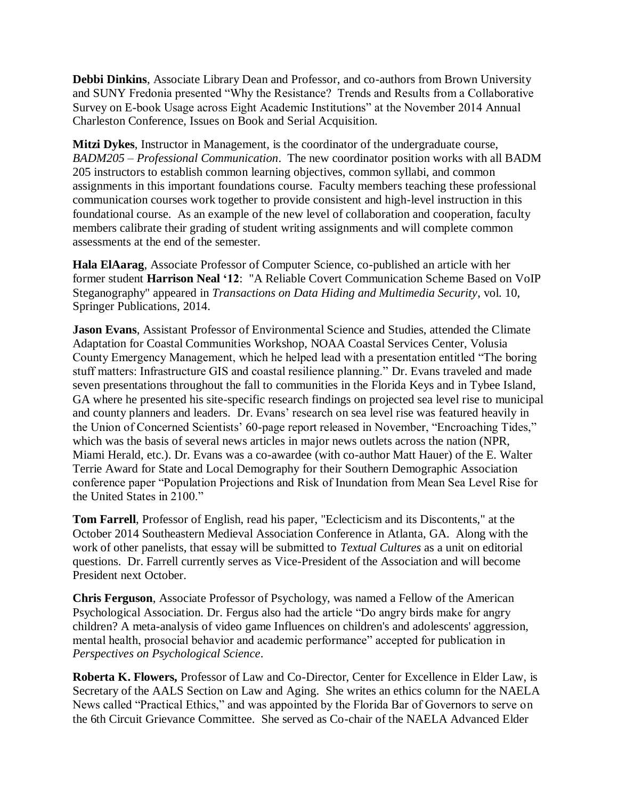**Debbi Dinkins**, Associate Library Dean and Professor, and co-authors from Brown University and SUNY Fredonia presented "Why the Resistance? Trends and Results from a Collaborative Survey on E-book Usage across Eight Academic Institutions" at the November 2014 Annual Charleston Conference, Issues on Book and Serial Acquisition.

**Mitzi Dykes**, Instructor in Management, is the coordinator of the undergraduate course, *BADM205 – Professional Communication*. The new coordinator position works with all BADM 205 instructors to establish common learning objectives, common syllabi, and common assignments in this important foundations course. Faculty members teaching these professional communication courses work together to provide consistent and high-level instruction in this foundational course. As an example of the new level of collaboration and cooperation, faculty members calibrate their grading of student writing assignments and will complete common assessments at the end of the semester.

**Hala ElAarag**, Associate Professor of Computer Science, co-published an article with her former student **Harrison Neal '12**: "A Reliable Covert Communication Scheme Based on VoIP Steganography" appeared in *Transactions on Data Hiding and Multimedia Security*, vol. 10, Springer Publications, 2014.

**Jason Evans**, Assistant Professor of Environmental Science and Studies, attended the Climate Adaptation for Coastal Communities Workshop, NOAA Coastal Services Center, Volusia County Emergency Management, which he helped lead with a presentation entitled "The boring stuff matters: Infrastructure GIS and coastal resilience planning." Dr. Evans traveled and made seven presentations throughout the fall to communities in the Florida Keys and in Tybee Island, GA where he presented his site-specific research findings on projected sea level rise to municipal and county planners and leaders. Dr. Evans' research on sea level rise was featured heavily in the Union of Concerned Scientists' 60-page report released in November, "Encroaching Tides," which was the basis of several news articles in major news outlets across the nation (NPR, Miami Herald, etc.). Dr. Evans was a co-awardee (with co-author Matt Hauer) of the E. Walter Terrie Award for State and Local Demography for their Southern Demographic Association conference paper "Population Projections and Risk of Inundation from Mean Sea Level Rise for the United States in 2100."

**Tom Farrell**, Professor of English, read his paper, "Eclecticism and its Discontents," at the October 2014 Southeastern Medieval Association Conference in Atlanta, GA. Along with the work of other panelists, that essay will be submitted to *Textual Cultures* as a unit on editorial questions. Dr. Farrell currently serves as Vice-President of the Association and will become President next October.

**Chris Ferguson**, Associate Professor of Psychology, was named a Fellow of the American Psychological Association. Dr. Fergus also had the article "Do angry birds make for angry children? A meta-analysis of video game Influences on children's and adolescents' aggression, mental health, prosocial behavior and academic performance" accepted for publication in *Perspectives on Psychological Science*.

**Roberta K. Flowers,** Professor of Law and Co-Director, Center for Excellence in Elder Law, is Secretary of the AALS Section on Law and Aging. She writes an ethics column for the NAELA News called "Practical Ethics," and was appointed by the Florida Bar of Governors to serve on the 6th Circuit Grievance Committee. She served as Co-chair of the NAELA Advanced Elder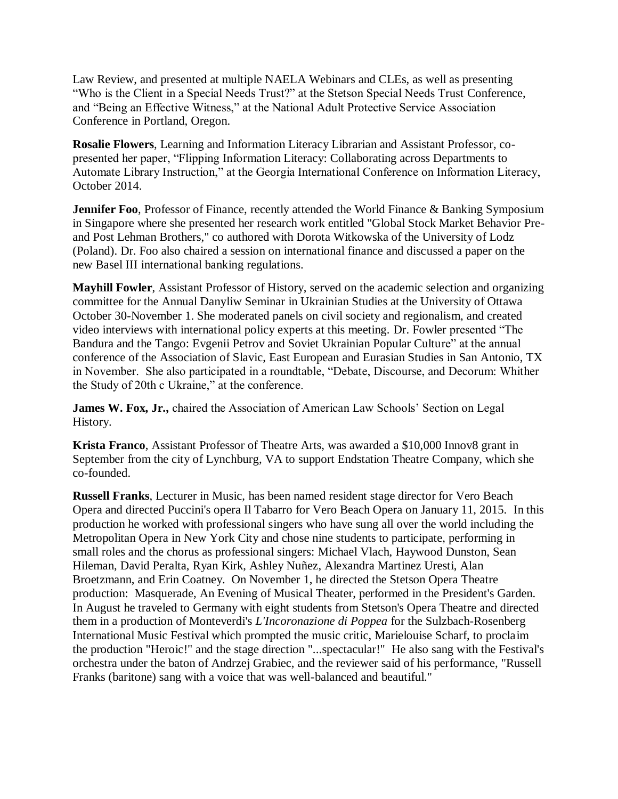Law Review, and presented at multiple NAELA Webinars and CLEs, as well as presenting "Who is the Client in a Special Needs Trust?" at the Stetson Special Needs Trust Conference, and "Being an Effective Witness," at the National Adult Protective Service Association Conference in Portland, Oregon.

**Rosalie Flowers**, Learning and Information Literacy Librarian and Assistant Professor, copresented her paper, "Flipping Information Literacy: Collaborating across Departments to Automate Library Instruction," at the Georgia International Conference on Information Literacy, October 2014.

**Jennifer Foo**, Professor of Finance, recently attended the World Finance & Banking Symposium in Singapore where she presented her research work entitled "Global Stock Market Behavior Preand Post Lehman Brothers," co authored with Dorota Witkowska of the University of Lodz (Poland). Dr. Foo also chaired a session on international finance and discussed a paper on the new Basel III international banking regulations.

**Mayhill Fowler**, Assistant Professor of History, served on the academic selection and organizing committee for the Annual Danyliw Seminar in Ukrainian Studies at the University of Ottawa October 30-November 1. She moderated panels on civil society and regionalism, and created video interviews with international policy experts at this meeting. Dr. Fowler presented "The Bandura and the Tango: Evgenii Petrov and Soviet Ukrainian Popular Culture" at the annual conference of the Association of Slavic, East European and Eurasian Studies in San Antonio, TX in November. She also participated in a roundtable, "Debate, Discourse, and Decorum: Whither the Study of 20th c Ukraine," at the conference.

**James W. Fox, Jr.,** chaired the Association of American Law Schools' Section on Legal History.

**Krista Franco**, Assistant Professor of Theatre Arts, was awarded a \$10,000 Innov8 grant in September from the city of Lynchburg, VA to support Endstation Theatre Company, which she co-founded.

**Russell Franks**, Lecturer in Music, has been named resident stage director for Vero Beach Opera and directed Puccini's opera Il Tabarro for Vero Beach Opera on January 11, 2015. In this production he worked with professional singers who have sung all over the world including the Metropolitan Opera in New York City and chose nine students to participate, performing in small roles and the chorus as professional singers: Michael Vlach, Haywood Dunston, Sean Hileman, David Peralta, Ryan Kirk, Ashley Nuñez, Alexandra Martinez Uresti, Alan Broetzmann, and Erin Coatney. On November 1, he directed the Stetson Opera Theatre production: Masquerade, An Evening of Musical Theater, performed in the President's Garden. In August he traveled to Germany with eight students from Stetson's Opera Theatre and directed them in a production of Monteverdi's *L'Incoronazione di Poppea* for the Sulzbach-Rosenberg International Music Festival which prompted the music critic, Marielouise Scharf, to proclaim the production "Heroic!" and the stage direction "...spectacular!" He also sang with the Festival's orchestra under the baton of Andrzej Grabiec, and the reviewer said of his performance, "Russell Franks (baritone) sang with a voice that was well-balanced and beautiful."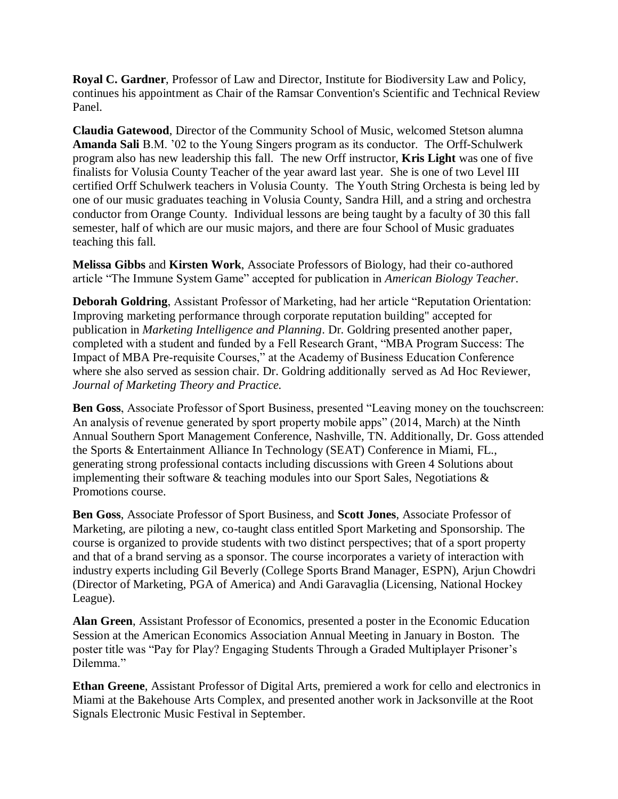**Royal C. Gardner**, Professor of Law and Director, Institute for Biodiversity Law and Policy, continues his appointment as Chair of the Ramsar Convention's Scientific and Technical Review Panel.

**Claudia Gatewood**, Director of the Community School of Music, welcomed Stetson alumna **Amanda Sali** B.M. '02 to the Young Singers program as its conductor. The Orff-Schulwerk program also has new leadership this fall. The new Orff instructor, **Kris Light** was one of five finalists for Volusia County Teacher of the year award last year. She is one of two Level III certified Orff Schulwerk teachers in Volusia County. The Youth String Orchesta is being led by one of our music graduates teaching in Volusia County, Sandra Hill, and a string and orchestra conductor from Orange County. Individual lessons are being taught by a faculty of 30 this fall semester, half of which are our music majors, and there are four School of Music graduates teaching this fall.

**Melissa Gibbs** and **Kirsten Work**, Associate Professors of Biology, had their co-authored article "The Immune System Game" accepted for publication in *American Biology Teacher*.

**Deborah Goldring**, Assistant Professor of Marketing, had her article "Reputation Orientation: Improving marketing performance through corporate reputation building" accepted for publication in *Marketing Intelligence and Planning*. Dr. Goldring presented another paper, completed with a student and funded by a Fell Research Grant, "MBA Program Success: The Impact of MBA Pre-requisite Courses," at the Academy of Business Education Conference where she also served as session chair. Dr. Goldring additionally served as Ad Hoc Reviewer, *Journal of Marketing Theory and Practice.*

**Ben Goss**, Associate Professor of Sport Business, presented "Leaving money on the touchscreen: An analysis of revenue generated by sport property mobile apps" (2014, March) at the Ninth Annual Southern Sport Management Conference, Nashville, TN. Additionally, Dr. Goss attended the Sports & Entertainment Alliance In Technology (SEAT) Conference in Miami, FL., generating strong professional contacts including discussions with Green 4 Solutions about implementing their software  $\&$  teaching modules into our Sport Sales, Negotiations  $\&$ Promotions course.

**Ben Goss**, Associate Professor of Sport Business, and **Scott Jones**, Associate Professor of Marketing, are piloting a new, co-taught class entitled Sport Marketing and Sponsorship. The course is organized to provide students with two distinct perspectives; that of a sport property and that of a brand serving as a sponsor. The course incorporates a variety of interaction with industry experts including Gil Beverly (College Sports Brand Manager, ESPN), Arjun Chowdri (Director of Marketing, PGA of America) and Andi Garavaglia (Licensing, National Hockey League).

**Alan Green**, Assistant Professor of Economics, presented a poster in the Economic Education Session at the American Economics Association Annual Meeting in January in Boston. The poster title was "Pay for Play? Engaging Students Through a Graded Multiplayer Prisoner's Dilemma."

**Ethan Greene**, Assistant Professor of Digital Arts, premiered a work for cello and electronics in Miami at the Bakehouse Arts Complex, and presented another work in Jacksonville at the Root Signals Electronic Music Festival in September.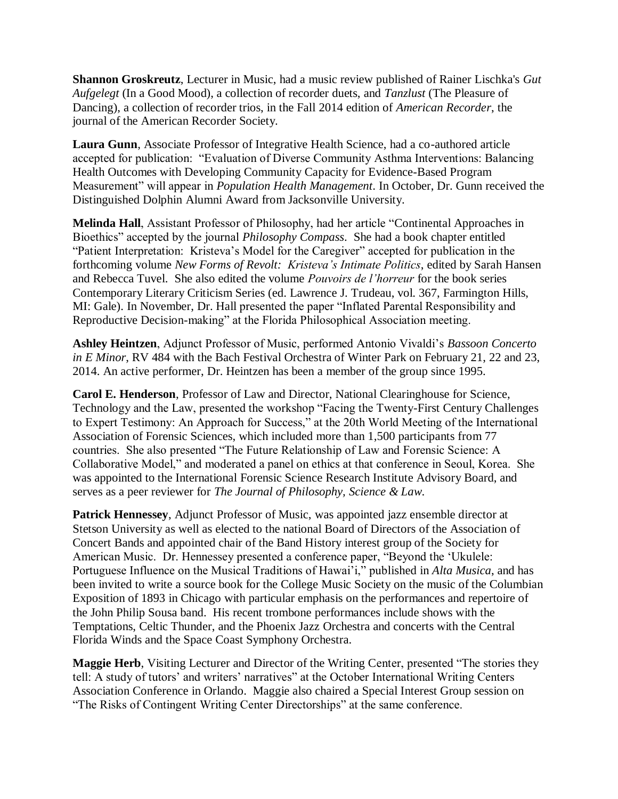**Shannon Groskreutz**, Lecturer in Music, had a music review published of Rainer Lischka's *Gut Aufgelegt* (In a Good Mood), a collection of recorder duets, and *Tanzlust* (The Pleasure of Dancing), a collection of recorder trios, in the Fall 2014 edition of *American Recorder*, the journal of the American Recorder Society.

**Laura Gunn**, Associate Professor of Integrative Health Science, had a co-authored article accepted for publication: "Evaluation of Diverse Community Asthma Interventions: Balancing Health Outcomes with Developing Community Capacity for Evidence-Based Program Measurement" will appear in *Population Health Management*. In October, Dr. Gunn received the Distinguished Dolphin Alumni Award from Jacksonville University.

**Melinda Hall**, Assistant Professor of Philosophy, had her article "Continental Approaches in Bioethics" accepted by the journal *Philosophy Compass*. She had a book chapter entitled "Patient Interpretation: Kristeva's Model for the Caregiver" accepted for publication in the forthcoming volume *New Forms of Revolt: Kristeva's Intimate Politics*, edited by Sarah Hansen and Rebecca Tuvel. She also edited the volume *Pouvoirs de l'horreur* for the book series Contemporary Literary Criticism Series (ed. Lawrence J. Trudeau, vol. 367, Farmington Hills, MI: Gale). In November, Dr. Hall presented the paper "Inflated Parental Responsibility and Reproductive Decision-making" at the Florida Philosophical Association meeting.

**Ashley Heintzen**, Adjunct Professor of Music, performed Antonio Vivaldi's *Bassoon Concerto in E Minor*, RV 484 with the Bach Festival Orchestra of Winter Park on February 21, 22 and 23, 2014. An active performer, Dr. Heintzen has been a member of the group since 1995.

**Carol E. Henderson**, Professor of Law and Director, National Clearinghouse for Science, Technology and the Law, presented the workshop "Facing the Twenty-First Century Challenges to Expert Testimony: An Approach for Success," at the 20th World Meeting of the International Association of Forensic Sciences, which included more than 1,500 participants from 77 countries. She also presented "The Future Relationship of Law and Forensic Science: A Collaborative Model," and moderated a panel on ethics at that conference in Seoul, Korea. She was appointed to the International Forensic Science Research Institute Advisory Board, and serves as a peer reviewer for *The Journal of Philosophy, Science & Law*.

**Patrick Hennessey**, Adjunct Professor of Music, was appointed jazz ensemble director at Stetson University as well as elected to the national Board of Directors of the Association of Concert Bands and appointed chair of the Band History interest group of the Society for American Music. Dr. Hennessey presented a conference paper, "Beyond the 'Ukulele: Portuguese Influence on the Musical Traditions of Hawai'i," published in *Alta Musica*, and has been invited to write a source book for the College Music Society on the music of the Columbian Exposition of 1893 in Chicago with particular emphasis on the performances and repertoire of the John Philip Sousa band. His recent trombone performances include shows with the Temptations, Celtic Thunder, and the Phoenix Jazz Orchestra and concerts with the Central Florida Winds and the Space Coast Symphony Orchestra.

**Maggie Herb**, Visiting Lecturer and Director of the Writing Center, presented "The stories they tell: A study of tutors' and writers' narratives" at the October International Writing Centers Association Conference in Orlando. Maggie also chaired a Special Interest Group session on "The Risks of Contingent Writing Center Directorships" at the same conference.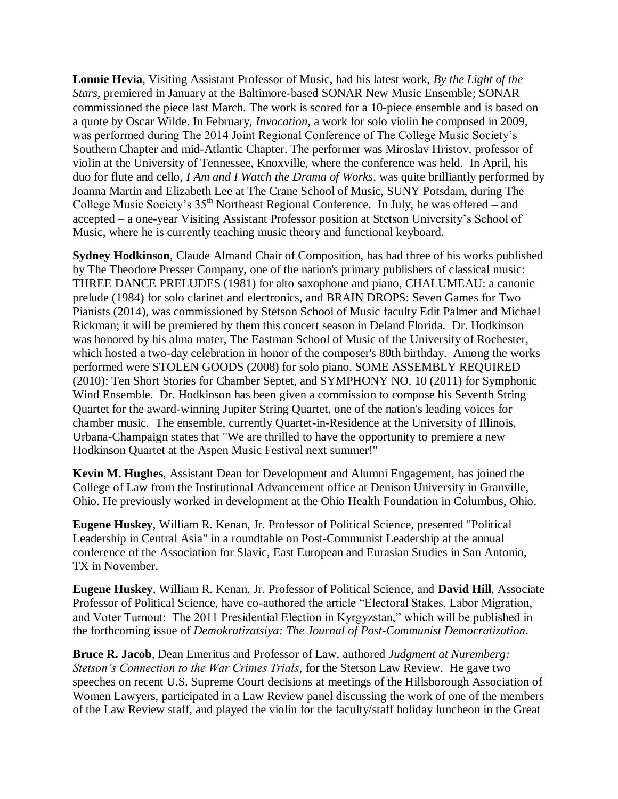**Lonnie Hevia**, Visiting Assistant Professor of Music, had his latest work, *By the Light of the Stars*, premiered in January at the Baltimore-based SONAR New Music Ensemble; SONAR commissioned the piece last March. The work is scored for a 10-piece ensemble and is based on a quote by Oscar Wilde. In February, *Invocation*, a work for solo violin he composed in 2009, was performed during The 2014 Joint Regional Conference of The College Music Society's Southern Chapter and mid-Atlantic Chapter. The performer was Miroslav Hristov, professor of violin at the University of Tennessee, Knoxville, where the conference was held. In April, his duo for flute and cello, *I Am and I Watch the Drama of Works*, was quite brilliantly performed by Joanna Martin and Elizabeth Lee at The Crane School of Music, SUNY Potsdam, during The College Music Society's 35<sup>th</sup> Northeast Regional Conference. In July, he was offered – and accepted – a one-year Visiting Assistant Professor position at Stetson University's School of Music, where he is currently teaching music theory and functional keyboard.

**Sydney Hodkinson**, Claude Almand Chair of Composition, has had three of his works published by The Theodore Presser Company, one of the nation's primary publishers of classical music: THREE DANCE PRELUDES (1981) for alto saxophone and piano, CHALUMEAU: a canonic prelude (1984) for solo clarinet and electronics, and BRAIN DROPS: Seven Games for Two Pianists (2014), was commissioned by Stetson School of Music faculty Edit Palmer and Michael Rickman; it will be premiered by them this concert season in Deland Florida. Dr. Hodkinson was honored by his alma mater, The Eastman School of Music of the University of Rochester, which hosted a two-day celebration in honor of the composer's 80th birthday. Among the works performed were STOLEN GOODS (2008) for solo piano, SOME ASSEMBLY REQUIRED (2010): Ten Short Stories for Chamber Septet, and SYMPHONY NO. 10 (2011) for Symphonic Wind Ensemble. Dr. Hodkinson has been given a commission to compose his Seventh String Quartet for the award-winning Jupiter String Quartet, one of the nation's leading voices for chamber music. The ensemble, currently Quartet-in-Residence at the University of Illinois, Urbana-Champaign states that "We are thrilled to have the opportunity to premiere a new Hodkinson Quartet at the Aspen Music Festival next summer!"

**Kevin M. Hughes**, Assistant Dean for Development and Alumni Engagement, has joined the College of Law from the Institutional Advancement office at Denison University in Granville, Ohio. He previously worked in development at the Ohio Health Foundation in Columbus, Ohio.

**Eugene Huskey**, William R. Kenan, Jr. Professor of Political Science, presented "Political Leadership in Central Asia" in a roundtable on Post-Communist Leadership at the annual conference of the Association for Slavic, East European and Eurasian Studies in San Antonio, TX in November.

**Eugene Huskey**, William R. Kenan, Jr. Professor of Political Science, and **David Hill**, Associate Professor of Political Science, have co-authored the article "Electoral Stakes, Labor Migration, and Voter Turnout: The 2011 Presidential Election in Kyrgyzstan," which will be published in the forthcoming issue of *Demokratizatsiya: The Journal of Post-Communist Democratization*.

**Bruce R. Jacob**, Dean Emeritus and Professor of Law, authored *Judgment at Nuremberg: Stetson's Connection to the War Crimes Trials*, for the Stetson Law Review. He gave two speeches on recent U.S. Supreme Court decisions at meetings of the Hillsborough Association of Women Lawyers, participated in a Law Review panel discussing the work of one of the members of the Law Review staff, and played the violin for the faculty/staff holiday luncheon in the Great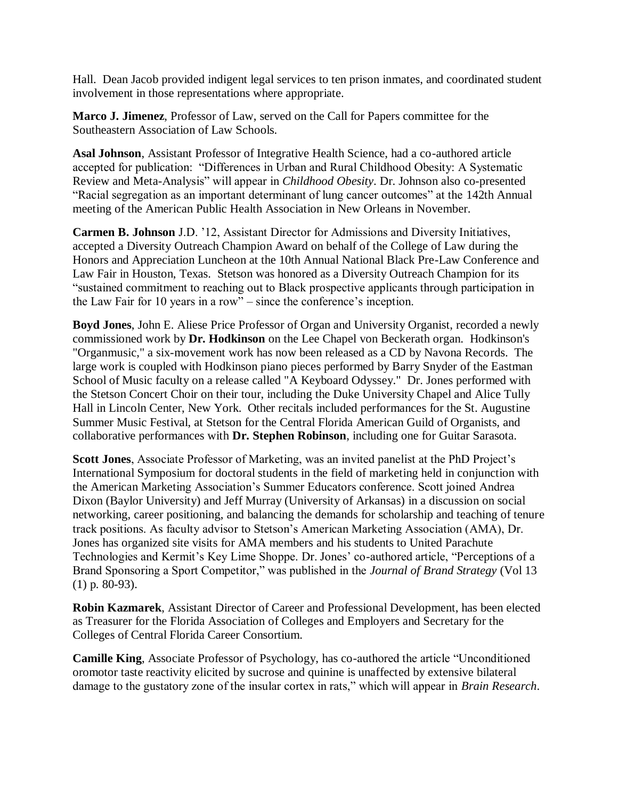Hall. Dean Jacob provided indigent legal services to ten prison inmates, and coordinated student involvement in those representations where appropriate.

**Marco J. Jimenez**, Professor of Law, served on the Call for Papers committee for the Southeastern Association of Law Schools.

**Asal Johnson**, Assistant Professor of Integrative Health Science, had a co-authored article accepted for publication: "Differences in Urban and Rural Childhood Obesity: A Systematic Review and Meta-Analysis" will appear in *Childhood Obesity*. Dr. Johnson also co-presented "Racial segregation as an important determinant of lung cancer outcomes" at the 142th Annual meeting of the American Public Health Association in New Orleans in November.

**Carmen B. Johnson** J.D. '12, Assistant Director for Admissions and Diversity Initiatives, accepted a Diversity Outreach Champion Award on behalf of the College of Law during the Honors and Appreciation Luncheon at the 10th Annual National Black Pre-Law Conference and Law Fair in Houston, Texas. Stetson was honored as a Diversity Outreach Champion for its "sustained commitment to reaching out to Black prospective applicants through participation in the Law Fair for 10 years in a row" – since the conference's inception.

**Boyd Jones**, John E. Aliese Price Professor of Organ and University Organist, recorded a newly commissioned work by **Dr. Hodkinson** on the Lee Chapel von Beckerath organ. Hodkinson's "Organmusic," a six-movement work has now been released as a CD by Navona Records. The large work is coupled with Hodkinson piano pieces performed by Barry Snyder of the Eastman School of Music faculty on a release called "A Keyboard Odyssey." Dr. Jones performed with the Stetson Concert Choir on their tour, including the Duke University Chapel and Alice Tully Hall in Lincoln Center, New York. Other recitals included performances for the St. Augustine Summer Music Festival, at Stetson for the Central Florida American Guild of Organists, and collaborative performances with **Dr. Stephen Robinson**, including one for Guitar Sarasota.

**Scott Jones**, Associate Professor of Marketing, was an invited panelist at the PhD Project's International Symposium for doctoral students in the field of marketing held in conjunction with the American Marketing Association's Summer Educators conference. Scott joined Andrea Dixon (Baylor University) and Jeff Murray (University of Arkansas) in a discussion on social networking, career positioning, and balancing the demands for scholarship and teaching of tenure track positions. As faculty advisor to Stetson's American Marketing Association (AMA), Dr. Jones has organized site visits for AMA members and his students to United Parachute Technologies and Kermit's Key Lime Shoppe. Dr. Jones' co-authored article, "Perceptions of a Brand Sponsoring a Sport Competitor," was published in the *Journal of Brand Strategy* (Vol 13 (1) p. 80-93).

**Robin Kazmarek**, Assistant Director of Career and Professional Development, has been elected as Treasurer for the Florida Association of Colleges and Employers and Secretary for the Colleges of Central Florida Career Consortium.

**Camille King**, Associate Professor of Psychology, has co-authored the article "Unconditioned oromotor taste reactivity elicited by sucrose and quinine is unaffected by extensive bilateral damage to the gustatory zone of the insular cortex in rats," which will appear in *Brain Research*.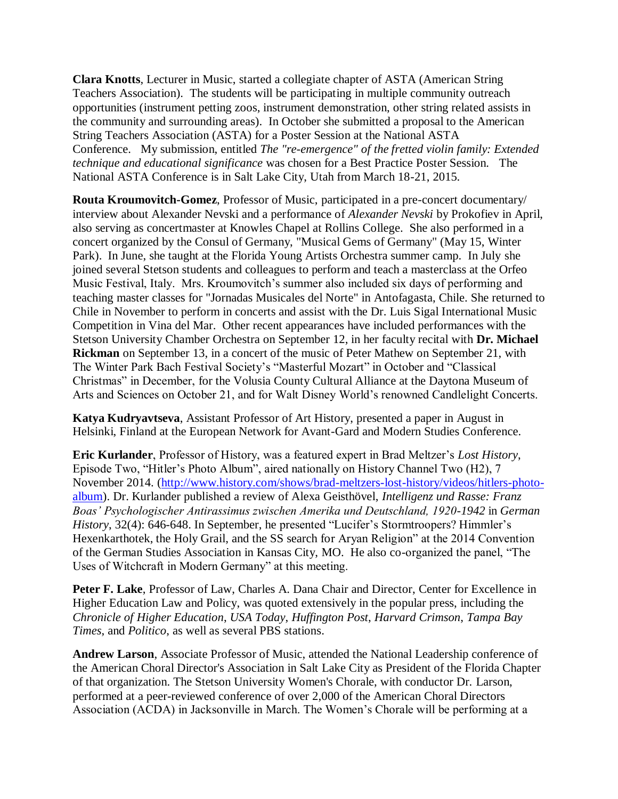**Clara Knotts**, Lecturer in Music, started a collegiate chapter of ASTA (American String Teachers Association). The students will be participating in multiple community outreach opportunities (instrument petting zoos, instrument demonstration, other string related assists in the community and surrounding areas). In October she submitted a proposal to the American String Teachers Association (ASTA) for a Poster Session at the National ASTA Conference. My submission, entitled *The "re-emergence" of the fretted violin family: Extended technique and educational significance* was chosen for a Best Practice Poster Session. The National ASTA Conference is in Salt Lake City, Utah from March 18-21, 2015.

**Routa Kroumovitch-Gomez**, Professor of Music, participated in a pre-concert documentary/ interview about Alexander Nevski and a performance of *Alexander Nevski* by Prokofiev in April, also serving as concertmaster at Knowles Chapel at Rollins College. She also performed in a concert organized by the Consul of Germany, "Musical Gems of Germany" (May 15, Winter Park). In June, she taught at the Florida Young Artists Orchestra summer camp. In July she joined several Stetson students and colleagues to perform and teach a masterclass at the Orfeo Music Festival, Italy. Mrs. Kroumovitch's summer also included six days of performing and teaching master classes for "Jornadas Musicales del Norte" in Antofagasta, Chile. She returned to Chile in November to perform in concerts and assist with the Dr. Luis Sigal International Music Competition in Vina del Mar. Other recent appearances have included performances with the Stetson University Chamber Orchestra on September 12, in her faculty recital with **Dr. Michael Rickman** on September 13, in a concert of the music of Peter Mathew on September 21, with The Winter Park Bach Festival Society's "Masterful Mozart" in October and "Classical Christmas" in December, for the Volusia County Cultural Alliance at the Daytona Museum of Arts and Sciences on October 21, and for Walt Disney World's renowned Candlelight Concerts.

**Katya Kudryavtseva**, Assistant Professor of Art History, presented a paper in August in Helsinki, Finland at the European Network for Avant-Gard and Modern Studies Conference.

**Eric Kurlander**, Professor of History, was a featured expert in Brad Meltzer's *Lost History*, Episode Two, "Hitler's Photo Album", aired nationally on History Channel Two (H2), 7 November 2014. [\(http://www.history.com/shows/brad-meltzers-lost-history/videos/hitlers-photo](http://www.history.com/shows/brad-meltzers-lost-history/videos/hitlers-photo-album)[album\)](http://www.history.com/shows/brad-meltzers-lost-history/videos/hitlers-photo-album). Dr. Kurlander published a review of Alexa Geisthövel, *Intelligenz und Rasse: Franz Boas' Psychologischer Antirassimus zwischen Amerika und Deutschland, 1920-1942* in *German History*, 32(4): 646-648. In September, he presented "Lucifer's Stormtroopers? Himmler's Hexenkarthotek, the Holy Grail, and the SS search for Aryan Religion" at the 2014 Convention of the German Studies Association in Kansas City, MO. He also co-organized the panel, "The Uses of Witchcraft in Modern Germany" at this meeting.

Peter F. Lake, Professor of Law, Charles A. Dana Chair and Director, Center for Excellence in Higher Education Law and Policy, was quoted extensively in the popular press, including the *Chronicle of Higher Education*, *USA Today*, *Huffington Post*, *Harvard Crimson*, *Tampa Bay Times*, and *Politico*, as well as several PBS stations.

**Andrew Larson**, Associate Professor of Music, attended the National Leadership conference of the American Choral Director's Association in Salt Lake City as President of the Florida Chapter of that organization. The Stetson University Women's Chorale, with conductor Dr. Larson, performed at a peer-reviewed conference of over 2,000 of the American Choral Directors Association (ACDA) in Jacksonville in March. The Women's Chorale will be performing at a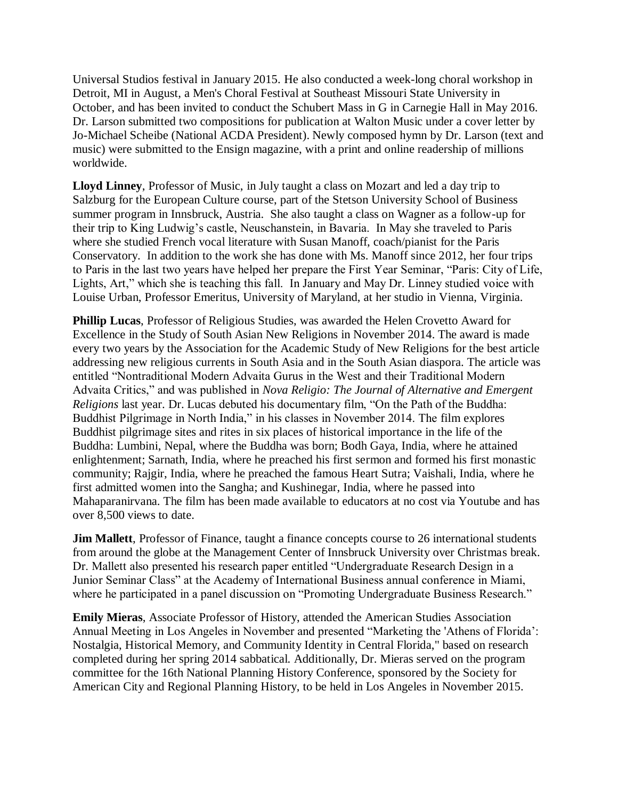Universal Studios festival in January 2015. He also conducted a week-long choral workshop in Detroit, MI in August, a Men's Choral Festival at Southeast Missouri State University in October, and has been invited to conduct the Schubert Mass in G in Carnegie Hall in May 2016. Dr. Larson submitted two compositions for publication at Walton Music under a cover letter by Jo-Michael Scheibe (National ACDA President). Newly composed hymn by Dr. Larson (text and music) were submitted to the Ensign magazine, with a print and online readership of millions worldwide.

**Lloyd Linney**, Professor of Music, in July taught a class on Mozart and led a day trip to Salzburg for the European Culture course, part of the Stetson University School of Business summer program in Innsbruck, Austria. She also taught a class on Wagner as a follow-up for their trip to King Ludwig's castle, Neuschanstein, in Bavaria. In May she traveled to Paris where she studied French vocal literature with Susan Manoff, coach/pianist for the Paris Conservatory. In addition to the work she has done with Ms. Manoff since 2012, her four trips to Paris in the last two years have helped her prepare the First Year Seminar, "Paris: City of Life, Lights, Art," which she is teaching this fall. In January and May Dr. Linney studied voice with Louise Urban, Professor Emeritus, University of Maryland, at her studio in Vienna, Virginia.

**Phillip Lucas**, Professor of Religious Studies, was awarded the Helen Crovetto Award for Excellence in the Study of South Asian New Religions in November 2014. The award is made every two years by the Association for the Academic Study of New Religions for the best article addressing new religious currents in South Asia and in the South Asian diaspora. The article was entitled "Nontraditional Modern Advaita Gurus in the West and their Traditional Modern Advaita Critics," and was published in *Nova Religio: The Journal of Alternative and Emergent Religions* last year. Dr. Lucas debuted his documentary film, "On the Path of the Buddha: Buddhist Pilgrimage in North India," in his classes in November 2014. The film explores Buddhist pilgrimage sites and rites in six places of historical importance in the life of the Buddha: Lumbini, Nepal, where the Buddha was born; Bodh Gaya, India, where he attained enlightenment; Sarnath, India, where he preached his first sermon and formed his first monastic community; Rajgir, India, where he preached the famous Heart Sutra; Vaishali, India, where he first admitted women into the Sangha; and Kushinegar, India, where he passed into Mahaparanirvana. The film has been made available to educators at no cost via Youtube and has over 8,500 views to date.

**Jim Mallett**, Professor of Finance, taught a finance concepts course to 26 international students from around the globe at the Management Center of Innsbruck University over Christmas break. Dr. Mallett also presented his research paper entitled "Undergraduate Research Design in a Junior Seminar Class" at the Academy of International Business annual conference in Miami, where he participated in a panel discussion on "Promoting Undergraduate Business Research."

**Emily Mieras**, Associate Professor of History, attended the American Studies Association Annual Meeting in Los Angeles in November and presented "Marketing the 'Athens of Florida': Nostalgia, Historical Memory, and Community Identity in Central Florida," based on research completed during her spring 2014 sabbatical. Additionally, Dr. Mieras served on the program committee for the 16th National Planning History Conference, sponsored by the Society for American City and Regional Planning History, to be held in Los Angeles in November 2015.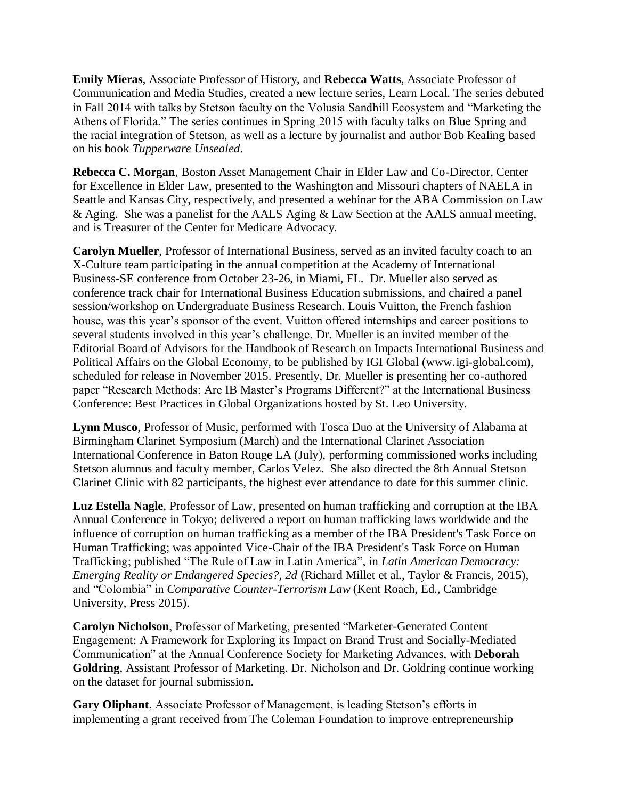**Emily Mieras**, Associate Professor of History, and **Rebecca Watts**, Associate Professor of Communication and Media Studies, created a new lecture series, Learn Local. The series debuted in Fall 2014 with talks by Stetson faculty on the Volusia Sandhill Ecosystem and "Marketing the Athens of Florida." The series continues in Spring 2015 with faculty talks on Blue Spring and the racial integration of Stetson, as well as a lecture by journalist and author Bob Kealing based on his book *Tupperware Unsealed*.

**Rebecca C. Morgan**, Boston Asset Management Chair in Elder Law and Co-Director, Center for Excellence in Elder Law, presented to the Washington and Missouri chapters of NAELA in Seattle and Kansas City, respectively, and presented a webinar for the ABA Commission on Law & Aging. She was a panelist for the AALS Aging & Law Section at the AALS annual meeting, and is Treasurer of the Center for Medicare Advocacy.

**Carolyn Mueller**, Professor of International Business, served as an invited faculty coach to an X-Culture team participating in the annual competition at the Academy of International Business-SE conference from October 23-26, in Miami, FL. Dr. Mueller also served as conference track chair for International Business Education submissions, and chaired a panel session/workshop on Undergraduate Business Research. Louis Vuitton, the French fashion house, was this year's sponsor of the event. Vuitton offered internships and career positions to several students involved in this year's challenge. Dr. Mueller is an invited member of the Editorial Board of Advisors for the Handbook of Research on Impacts International Business and Political Affairs on the Global Economy, to be published by IGI Global (www.igi-global.com), scheduled for release in November 2015. Presently, Dr. Mueller is presenting her co-authored paper "Research Methods: Are IB Master's Programs Different?" at the International Business Conference: Best Practices in Global Organizations hosted by St. Leo University.

**Lynn Musco**, Professor of Music, performed with Tosca Duo at the University of Alabama at Birmingham Clarinet Symposium (March) and the International Clarinet Association International Conference in Baton Rouge LA (July), performing commissioned works including Stetson alumnus and faculty member, Carlos Velez. She also directed the 8th Annual Stetson Clarinet Clinic with 82 participants, the highest ever attendance to date for this summer clinic.

**Luz Estella Nagle**, Professor of Law, presented on human trafficking and corruption at the IBA Annual Conference in Tokyo; delivered a report on human trafficking laws worldwide and the influence of corruption on human trafficking as a member of the IBA President's Task Force on Human Trafficking; was appointed Vice-Chair of the IBA President's Task Force on Human Trafficking; published "The Rule of Law in Latin America", in *Latin American Democracy: Emerging Reality or Endangered Species?, 2d* (Richard Millet et al., Taylor & Francis, 2015), and "Colombia" in *Comparative Counter-Terrorism Law* (Kent Roach, Ed., Cambridge University, Press 2015).

**Carolyn Nicholson**, Professor of Marketing, presented "Marketer-Generated Content Engagement: A Framework for Exploring its Impact on Brand Trust and Socially-Mediated Communication" at the Annual Conference Society for Marketing Advances, with **Deborah Goldring**, Assistant Professor of Marketing. Dr. Nicholson and Dr. Goldring continue working on the dataset for journal submission.

**Gary Oliphant**, Associate Professor of Management, is leading Stetson's efforts in implementing a grant received from The Coleman Foundation to improve entrepreneurship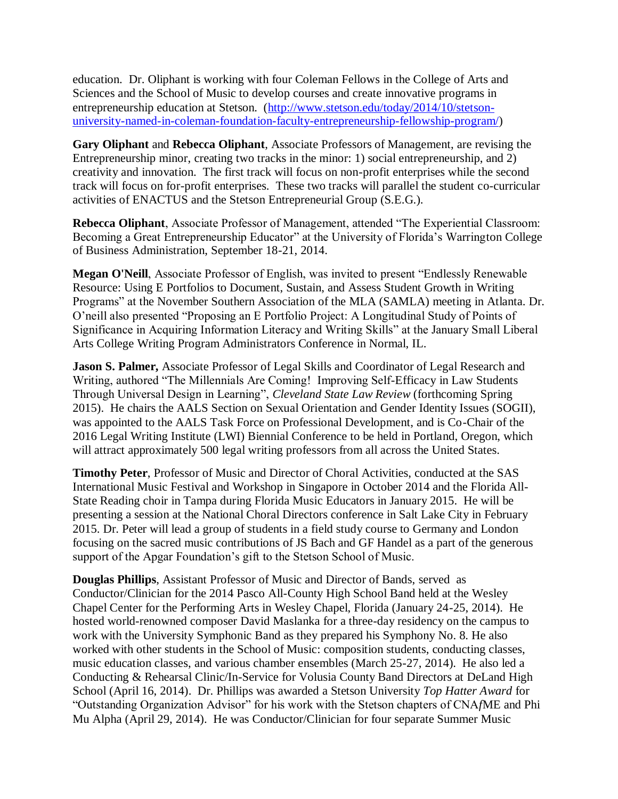education. Dr. Oliphant is working with four Coleman Fellows in the College of Arts and Sciences and the School of Music to develop courses and create innovative programs in entrepreneurship education at Stetson. [\(http://www.stetson.edu/today/2014/10/stetson](http://www.stetson.edu/today/2014/10/stetson-university-named-in-coleman-foundation-faculty-entrepreneurship-fellowship-program/)[university-named-in-coleman-foundation-faculty-entrepreneurship-fellowship-program/\)](http://www.stetson.edu/today/2014/10/stetson-university-named-in-coleman-foundation-faculty-entrepreneurship-fellowship-program/)

**Gary Oliphant** and **Rebecca Oliphant**, Associate Professors of Management, are revising the Entrepreneurship minor, creating two tracks in the minor: 1) social entrepreneurship, and 2) creativity and innovation. The first track will focus on non-profit enterprises while the second track will focus on for-profit enterprises. These two tracks will parallel the student co-curricular activities of ENACTUS and the Stetson Entrepreneurial Group (S.E.G.).

**Rebecca Oliphant**, Associate Professor of Management, attended "The Experiential Classroom: Becoming a Great Entrepreneurship Educator" at the University of Florida's Warrington College of Business Administration, September 18-21, 2014.

**Megan O'Neill**, Associate Professor of English, was invited to present "Endlessly Renewable Resource: Using E Portfolios to Document, Sustain, and Assess Student Growth in Writing Programs" at the November Southern Association of the MLA (SAMLA) meeting in Atlanta. Dr. O'neill also presented "Proposing an E Portfolio Project: A Longitudinal Study of Points of Significance in Acquiring Information Literacy and Writing Skills" at the January Small Liberal Arts College Writing Program Administrators Conference in Normal, IL.

**Jason S. Palmer,** Associate Professor of Legal Skills and Coordinator of Legal Research and Writing, authored "The Millennials Are Coming! Improving Self-Efficacy in Law Students Through Universal Design in Learning", *Cleveland State Law Review* (forthcoming Spring 2015). He chairs the AALS Section on Sexual Orientation and Gender Identity Issues (SOGII), was appointed to the AALS Task Force on Professional Development, and is Co-Chair of the 2016 Legal Writing Institute (LWI) Biennial Conference to be held in Portland, Oregon, which will attract approximately 500 legal writing professors from all across the United States.

**Timothy Peter**, Professor of Music and Director of Choral Activities, conducted at the SAS International Music Festival and Workshop in Singapore in October 2014 and the Florida All-State Reading choir in Tampa during Florida Music Educators in January 2015. He will be presenting a session at the National Choral Directors conference in Salt Lake City in February 2015. Dr. Peter will lead a group of students in a field study course to Germany and London focusing on the sacred music contributions of JS Bach and GF Handel as a part of the generous support of the Apgar Foundation's gift to the Stetson School of Music.

**Douglas Phillips**, Assistant Professor of Music and Director of Bands, served as Conductor/Clinician for the 2014 Pasco All-County High School Band held at the Wesley Chapel Center for the Performing Arts in Wesley Chapel, Florida (January 24-25, 2014). He hosted world-renowned composer David Maslanka for a three-day residency on the campus to work with the University Symphonic Band as they prepared his Symphony No. 8. He also worked with other students in the School of Music: composition students, conducting classes, music education classes, and various chamber ensembles (March 25-27, 2014). He also led a Conducting & Rehearsal Clinic/In-Service for Volusia County Band Directors at DeLand High School (April 16, 2014). Dr. Phillips was awarded a Stetson University *Top Hatter Award* for "Outstanding Organization Advisor" for his work with the Stetson chapters of CNA*f*ME and Phi Mu Alpha (April 29, 2014). He was Conductor/Clinician for four separate Summer Music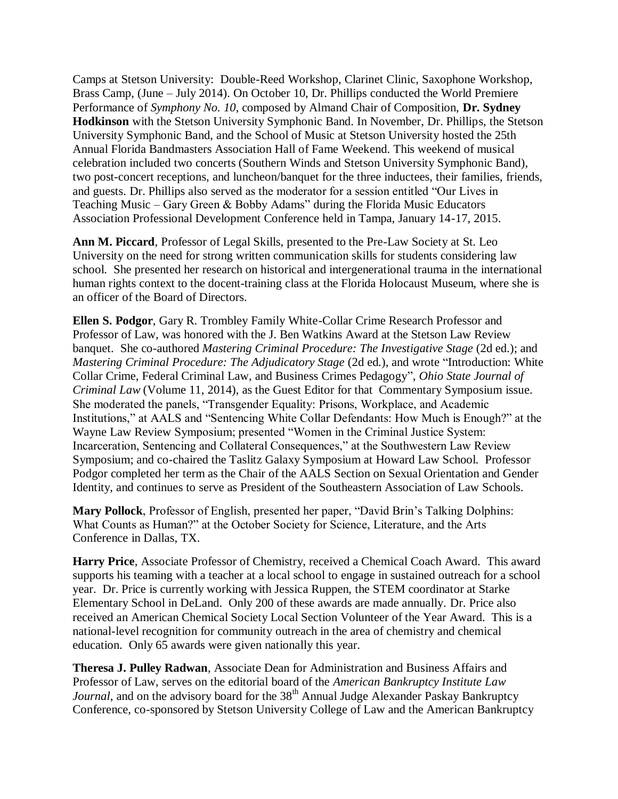Camps at Stetson University: Double-Reed Workshop, Clarinet Clinic, Saxophone Workshop, Brass Camp, (June – July 2014). On October 10, Dr. Phillips conducted the World Premiere Performance of *Symphony No. 10*, composed by Almand Chair of Composition, **Dr. Sydney Hodkinson** with the Stetson University Symphonic Band. In November, Dr. Phillips, the Stetson University Symphonic Band, and the School of Music at Stetson University hosted the 25th Annual Florida Bandmasters Association Hall of Fame Weekend. This weekend of musical celebration included two concerts (Southern Winds and Stetson University Symphonic Band), two post-concert receptions, and luncheon/banquet for the three inductees, their families, friends, and guests. Dr. Phillips also served as the moderator for a session entitled "Our Lives in Teaching Music – Gary Green & Bobby Adams" during the Florida Music Educators Association Professional Development Conference held in Tampa, January 14-17, 2015.

**Ann M. Piccard**, Professor of Legal Skills, presented to the Pre-Law Society at St. Leo University on the need for strong written communication skills for students considering law school. She presented her research on historical and intergenerational trauma in the international human rights context to the docent-training class at the Florida Holocaust Museum, where she is an officer of the Board of Directors.

**Ellen S. Podgor**, Gary R. Trombley Family White-Collar Crime Research Professor and Professor of Law, was honored with the J. Ben Watkins Award at the Stetson Law Review banquet. She co-authored *Mastering Criminal Procedure: The Investigative Stage* (2d ed.); and *Mastering Criminal Procedure: The Adjudicatory Stage* (2d ed.), and wrote "Introduction: White Collar Crime, Federal Criminal Law, and Business Crimes Pedagogy", *Ohio State Journal of Criminal Law* (Volume 11, 2014), as the Guest Editor for that Commentary Symposium issue. She moderated the panels, "Transgender Equality: Prisons, Workplace, and Academic Institutions," at AALS and "Sentencing White Collar Defendants: How Much is Enough?" at the Wayne Law Review Symposium; presented "Women in the Criminal Justice System: Incarceration, Sentencing and Collateral Consequences," at the Southwestern Law Review Symposium; and co-chaired the Taslitz Galaxy Symposium at Howard Law School. Professor Podgor completed her term as the Chair of the AALS Section on Sexual Orientation and Gender Identity, and continues to serve as President of the Southeastern Association of Law Schools.

**Mary Pollock**, Professor of English, presented her paper, "David Brin's Talking Dolphins: What Counts as Human?" at the October Society for Science, Literature, and the Arts Conference in Dallas, TX.

**Harry Price**, Associate Professor of Chemistry, received a Chemical Coach Award. This award supports his teaming with a teacher at a local school to engage in sustained outreach for a school year. Dr. Price is currently working with Jessica Ruppen, the STEM coordinator at Starke Elementary School in DeLand. Only 200 of these awards are made annually. Dr. Price also received an American Chemical Society Local Section Volunteer of the Year Award. This is a national-level recognition for community outreach in the area of chemistry and chemical education. Only 65 awards were given nationally this year.

**Theresa J. Pulley Radwan**, Associate Dean for Administration and Business Affairs and Professor of Law, serves on the editorial board of the *American Bankruptcy Institute Law Journal*, and on the advisory board for the 38<sup>th</sup> Annual Judge Alexander Paskay Bankruptcy Conference, co-sponsored by Stetson University College of Law and the American Bankruptcy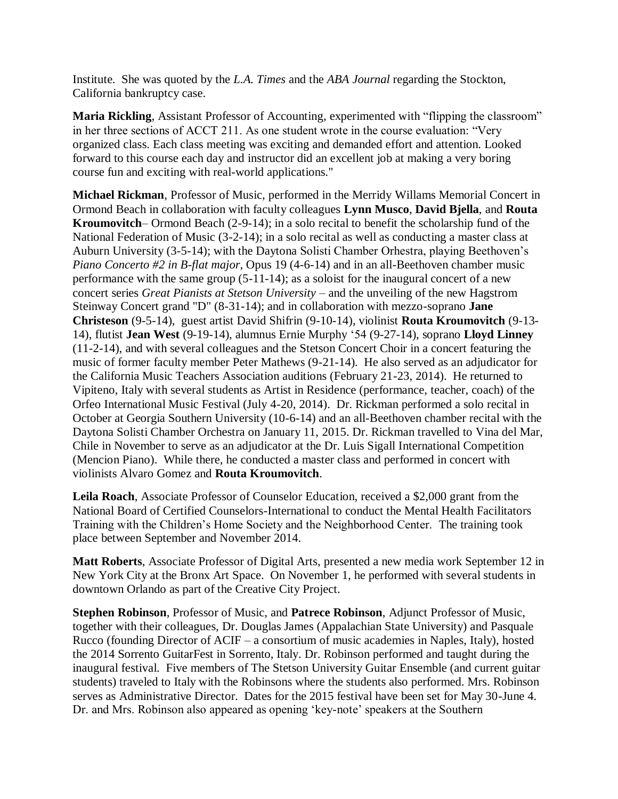Institute. She was quoted by the *L.A. Times* and the *ABA Journal* regarding the Stockton, California bankruptcy case.

**Maria Rickling**, Assistant Professor of Accounting, experimented with "flipping the classroom" in her three sections of ACCT 211. As one student wrote in the course evaluation: "Very organized class. Each class meeting was exciting and demanded effort and attention. Looked forward to this course each day and instructor did an excellent job at making a very boring course fun and exciting with real-world applications."

**Michael Rickman**, Professor of Music, performed in the Merridy Willams Memorial Concert in Ormond Beach in collaboration with faculty colleagues **Lynn Musco**, **David Bjella**, and **Routa Kroumovitch**– Ormond Beach (2-9-14); in a solo recital to benefit the scholarship fund of the National Federation of Music (3-2-14); in a solo recital as well as conducting a master class at Auburn University (3-5-14); with the Daytona Solisti Chamber Orhestra, playing Beethoven's *Piano Concerto #2 in B-flat major*, Opus 19 (4-6-14) and in an all-Beethoven chamber music performance with the same group (5-11-14); as a soloist for the inaugural concert of a new concert series *Great Pianists at Stetson University –* and the unveiling of the new Hagstrom Steinway Concert grand "D" (8-31-14); and in collaboration with mezzo-soprano **Jane Christeson** (9-5-14), guest artist David Shifrin (9-10-14), violinist **Routa Kroumovitch** (9-13- 14), flutist **Jean West** (9-19-14), alumnus Ernie Murphy '54 (9-27-14), soprano **Lloyd Linney** (11-2-14), and with several colleagues and the Stetson Concert Choir in a concert featuring the music of former faculty member Peter Mathews (9-21-14). He also served as an adjudicator for the California Music Teachers Association auditions (February 21-23, 2014). He returned to Vipiteno, Italy with several students as Artist in Residence (performance, teacher, coach) of the Orfeo International Music Festival (July 4-20, 2014). Dr. Rickman performed a solo recital in October at Georgia Southern University (10-6-14) and an all-Beethoven chamber recital with the Daytona Solisti Chamber Orchestra on January 11, 2015. Dr. Rickman travelled to Vina del Mar, Chile in November to serve as an adjudicator at the Dr. Luis Sigall International Competition (Mencion Piano). While there, he conducted a master class and performed in concert with violinists Alvaro Gomez and **Routa Kroumovitch**.

**Leila Roach**, Associate Professor of Counselor Education, received a \$2,000 grant from the National Board of Certified Counselors-International to conduct the Mental Health Facilitators Training with the Children's Home Society and the Neighborhood Center. The training took place between September and November 2014.

**Matt Roberts**, Associate Professor of Digital Arts, presented a new media work September 12 in New York City at the Bronx Art Space. On November 1, he performed with several students in downtown Orlando as part of the Creative City Project.

**Stephen Robinson**, Professor of Music, and **Patrece Robinson**, Adjunct Professor of Music, together with their colleagues, Dr. Douglas James (Appalachian State University) and Pasquale Rucco (founding Director of ACIF – a consortium of music academies in Naples, Italy), hosted the 2014 Sorrento GuitarFest in Sorrento, Italy. Dr. Robinson performed and taught during the inaugural festival. Five members of The Stetson University Guitar Ensemble (and current guitar students) traveled to Italy with the Robinsons where the students also performed. Mrs. Robinson serves as Administrative Director. Dates for the 2015 festival have been set for May 30-June 4. Dr. and Mrs. Robinson also appeared as opening 'key-note' speakers at the Southern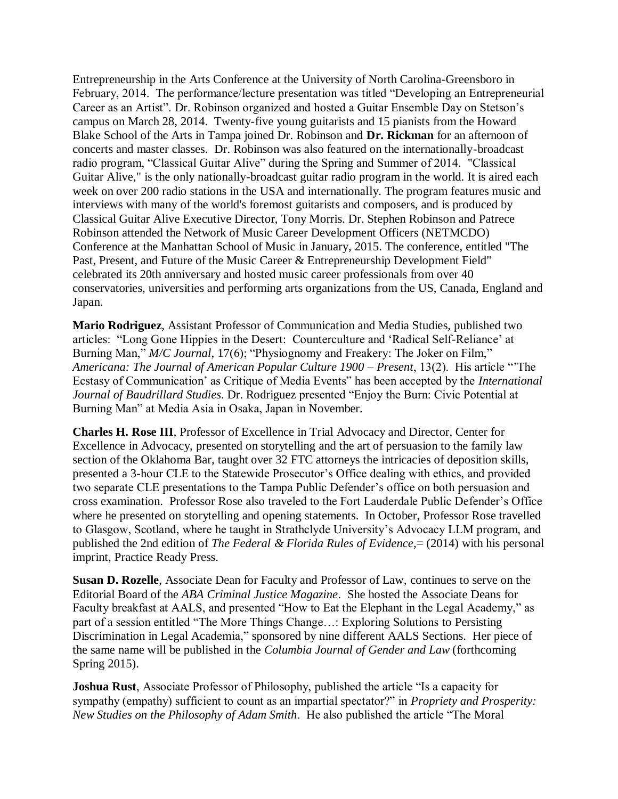Entrepreneurship in the Arts Conference at the University of North Carolina-Greensboro in February, 2014. The performance/lecture presentation was titled "Developing an Entrepreneurial Career as an Artist". Dr. Robinson organized and hosted a Guitar Ensemble Day on Stetson's campus on March 28, 2014. Twenty-five young guitarists and 15 pianists from the Howard Blake School of the Arts in Tampa joined Dr. Robinson and **Dr. Rickman** for an afternoon of concerts and master classes. Dr. Robinson was also featured on the internationally-broadcast radio program, "Classical Guitar Alive" during the Spring and Summer of 2014. "Classical Guitar Alive," is the only nationally-broadcast guitar radio program in the world. It is aired each week on over 200 radio stations in the USA and internationally. The program features music and interviews with many of the world's foremost guitarists and composers, and is produced by Classical Guitar Alive Executive Director, Tony Morris. Dr. Stephen Robinson and Patrece Robinson attended the Network of Music Career Development Officers (NETMCDO) Conference at the Manhattan School of Music in January, 2015. The conference, entitled "The Past, Present, and Future of the Music Career & Entrepreneurship Development Field" celebrated its 20th anniversary and hosted music career professionals from over 40 conservatories, universities and performing arts organizations from the US, Canada, England and Japan.

**Mario Rodriguez**, Assistant Professor of Communication and Media Studies, published two articles: "Long Gone Hippies in the Desert: Counterculture and 'Radical Self-Reliance' at Burning Man," *M/C Journal*, 17(6); "Physiognomy and Freakery: The Joker on Film," *Americana: The Journal of American Popular Culture 1900 – Present*, 13(2). His article "'The Ecstasy of Communication' as Critique of Media Events" has been accepted by the *International Journal of Baudrillard Studies*. Dr. Rodriguez presented "Enjoy the Burn: Civic Potential at Burning Man" at Media Asia in Osaka, Japan in November.

**Charles H. Rose III**, Professor of Excellence in Trial Advocacy and Director, Center for Excellence in Advocacy, presented on storytelling and the art of persuasion to the family law section of the Oklahoma Bar, taught over 32 FTC attorneys the intricacies of deposition skills, presented a 3-hour CLE to the Statewide Prosecutor's Office dealing with ethics, and provided two separate CLE presentations to the Tampa Public Defender's office on both persuasion and cross examination. Professor Rose also traveled to the Fort Lauderdale Public Defender's Office where he presented on storytelling and opening statements. In October, Professor Rose travelled to Glasgow, Scotland, where he taught in Strathclyde University's Advocacy LLM program, and published the 2nd edition of *The Federal & Florida Rules of Evidence*,= (2014) with his personal imprint, Practice Ready Press.

**Susan D. Rozelle**, Associate Dean for Faculty and Professor of Law, continues to serve on the Editorial Board of the *ABA Criminal Justice Magazine*. She hosted the Associate Deans for Faculty breakfast at AALS, and presented "How to Eat the Elephant in the Legal Academy," as part of a session entitled "The More Things Change…: Exploring Solutions to Persisting Discrimination in Legal Academia," sponsored by nine different AALS Sections. Her piece of the same name will be published in the *Columbia Journal of Gender and Law* (forthcoming Spring 2015).

**Joshua Rust**, Associate Professor of Philosophy, published the article "Is a capacity for sympathy (empathy) sufficient to count as an impartial spectator?" in *Propriety and Prosperity: New Studies on the Philosophy of Adam Smith*. He also published the article "The Moral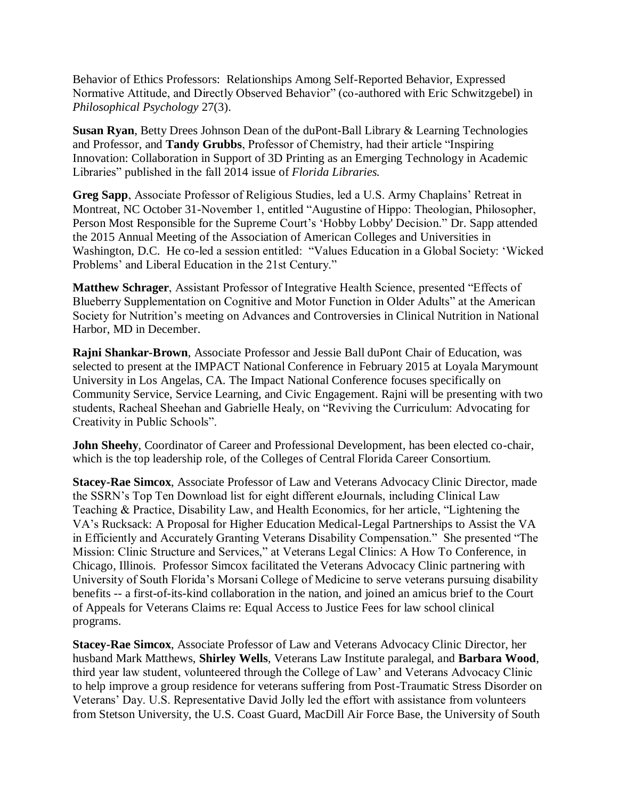Behavior of Ethics Professors: Relationships Among Self-Reported Behavior, Expressed Normative Attitude, and Directly Observed Behavior" (co-authored with Eric Schwitzgebel) in *Philosophical Psychology* 27(3).

**Susan Ryan**, Betty Drees Johnson Dean of the duPont-Ball Library & Learning Technologies and Professor, and **Tandy Grubbs**, Professor of Chemistry, had their article "Inspiring Innovation: Collaboration in Support of 3D Printing as an Emerging Technology in Academic Libraries" published in the fall 2014 issue of *Florida Libraries.*

**Greg Sapp**, Associate Professor of Religious Studies, led a U.S. Army Chaplains' Retreat in Montreat, NC October 31-November 1, entitled "Augustine of Hippo: Theologian, Philosopher, Person Most Responsible for the Supreme Court's 'Hobby Lobby' Decision." Dr. Sapp attended the 2015 Annual Meeting of the Association of American Colleges and Universities in Washington, D.C. He co-led a session entitled: "Values Education in a Global Society: 'Wicked Problems' and Liberal Education in the 21st Century."

**Matthew Schrager**, Assistant Professor of Integrative Health Science, presented "Effects of Blueberry Supplementation on Cognitive and Motor Function in Older Adults" at the American Society for Nutrition's meeting on Advances and Controversies in Clinical Nutrition in National Harbor, MD in December.

**Rajni Shankar-Brown**, Associate Professor and Jessie Ball duPont Chair of Education, was selected to present at the IMPACT National Conference in February 2015 at Loyala Marymount University in Los Angelas, CA. The Impact National Conference focuses specifically on Community Service, Service Learning, and Civic Engagement. Rajni will be presenting with two students, Racheal Sheehan and Gabrielle Healy, on "Reviving the Curriculum: Advocating for Creativity in Public Schools".

**John Sheehy**, Coordinator of Career and Professional Development, has been elected co-chair, which is the top leadership role, of the Colleges of Central Florida Career Consortium.

**Stacey-Rae Simcox**, Associate Professor of Law and Veterans Advocacy Clinic Director, made the SSRN's Top Ten Download list for eight different eJournals, including Clinical Law Teaching & Practice, Disability Law, and Health Economics, for her article, "Lightening the VA's Rucksack: A Proposal for Higher Education Medical-Legal Partnerships to Assist the VA in Efficiently and Accurately Granting Veterans Disability Compensation." She presented "The Mission: Clinic Structure and Services," at Veterans Legal Clinics: A How To Conference, in Chicago, Illinois. Professor Simcox facilitated the Veterans Advocacy Clinic partnering with University of South Florida's Morsani College of Medicine to serve veterans pursuing disability benefits -- a first-of-its-kind collaboration in the nation, and joined an amicus brief to the Court of Appeals for Veterans Claims re: Equal Access to Justice Fees for law school clinical programs.

**Stacey-Rae Simcox**, Associate Professor of Law and Veterans Advocacy Clinic Director, her husband Mark Matthews, **Shirley Wells**, Veterans Law Institute paralegal, and **Barbara Wood**, third year law student, volunteered through the College of Law' and Veterans Advocacy Clinic to help improve a group residence for veterans suffering from Post-Traumatic Stress Disorder on Veterans' Day. U.S. Representative David Jolly led the effort with assistance from volunteers from Stetson University, the U.S. Coast Guard, MacDill Air Force Base, the University of South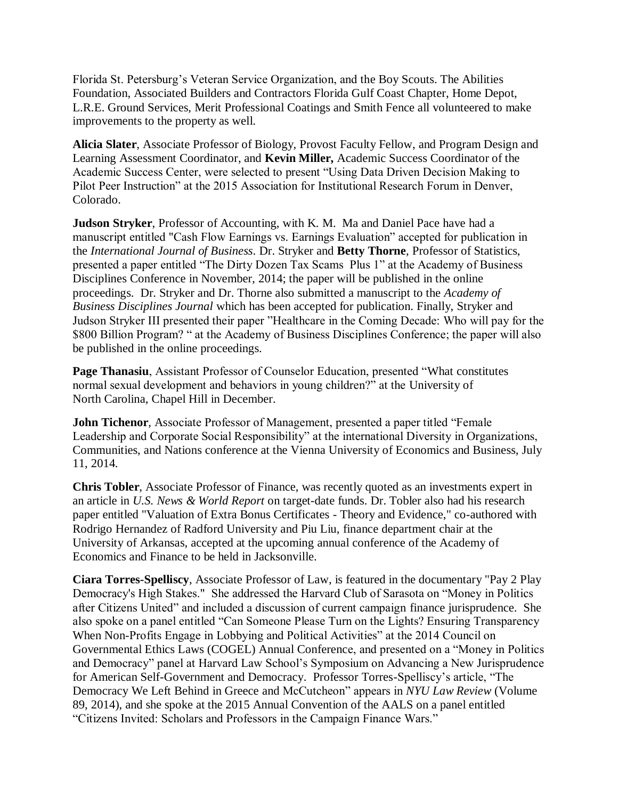Florida St. Petersburg's Veteran Service Organization, and the Boy Scouts. The Abilities Foundation, Associated Builders and Contractors Florida Gulf Coast Chapter, Home Depot, L.R.E. Ground Services, Merit Professional Coatings and Smith Fence all volunteered to make improvements to the property as well.

**Alicia Slater**, Associate Professor of Biology, Provost Faculty Fellow, and Program Design and Learning Assessment Coordinator, and **Kevin Miller,** Academic Success Coordinator of the Academic Success Center, were selected to present "Using Data Driven Decision Making to Pilot Peer Instruction" at the 2015 Association for Institutional Research Forum in Denver, Colorado.

**Judson Stryker**, Professor of Accounting, with K. M. Ma and Daniel Pace have had a manuscript entitled "Cash Flow Earnings vs. Earnings Evaluation" accepted for publication in the *International Journal of Business*. Dr. Stryker and **Betty Thorne**, Professor of Statistics, presented a paper entitled "The Dirty Dozen Tax Scams Plus 1" at the Academy of Business Disciplines Conference in November, 2014; the paper will be published in the online proceedings. Dr. Stryker and Dr. Thorne also submitted a manuscript to the *Academy of Business Disciplines Journal* which has been accepted for publication. Finally, Stryker and Judson Stryker III presented their paper "Healthcare in the Coming Decade: Who will pay for the \$800 Billion Program? " at the Academy of Business Disciplines Conference; the paper will also be published in the online proceedings.

**Page Thanasiu**, Assistant Professor of Counselor Education, presented "What constitutes normal sexual development and behaviors in young children?" at the University of North Carolina, Chapel Hill in December.

**John Tichenor**, Associate Professor of Management, presented a paper titled "Female Leadership and Corporate Social Responsibility" at the international Diversity in Organizations, Communities, and Nations conference at the Vienna University of Economics and Business, July 11, 2014.

**Chris Tobler**, Associate Professor of Finance, was recently quoted as an investments expert in an article in *U.S. News & World Report* on target-date funds. Dr. Tobler also had his research paper entitled "Valuation of Extra Bonus Certificates - Theory and Evidence," co-authored with Rodrigo Hernandez of Radford University and Piu Liu, finance department chair at the University of Arkansas, accepted at the upcoming annual conference of the Academy of Economics and Finance to be held in Jacksonville.

**Ciara Torres-Spelliscy**, Associate Professor of Law, is featured in the documentary "Pay 2 Play Democracy's High Stakes." She addressed the Harvard Club of Sarasota on "Money in Politics after Citizens United" and included a discussion of current campaign finance jurisprudence. She also spoke on a panel entitled "Can Someone Please Turn on the Lights? Ensuring Transparency When Non-Profits Engage in Lobbying and Political Activities" at the 2014 Council on Governmental Ethics Laws (COGEL) Annual Conference, and presented on a "Money in Politics and Democracy" panel at Harvard Law School's Symposium on Advancing a New Jurisprudence for American Self-Government and Democracy. Professor Torres-Spelliscy's article, "The Democracy We Left Behind in Greece and McCutcheon" appears in *NYU Law Review* (Volume 89, 2014), and she spoke at the 2015 Annual Convention of the AALS on a panel entitled "Citizens Invited: Scholars and Professors in the Campaign Finance Wars."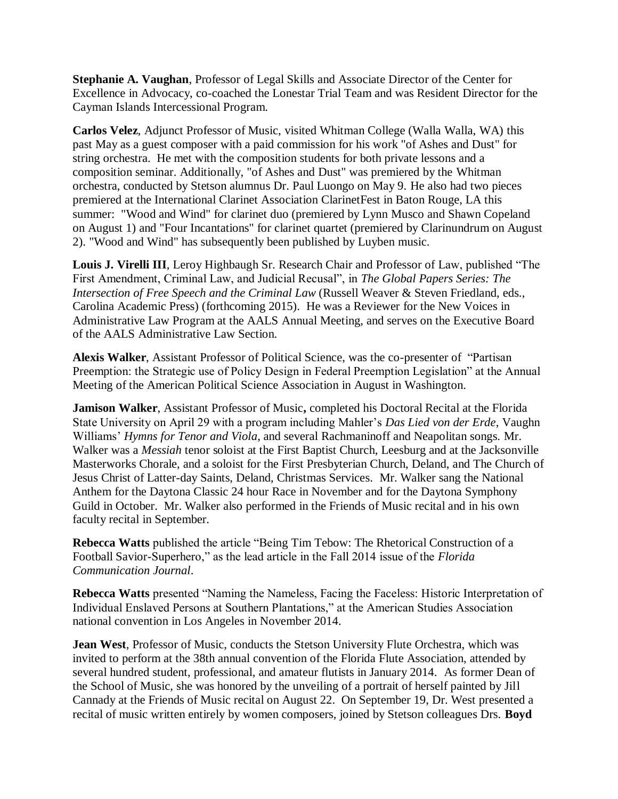**Stephanie A. Vaughan**, Professor of Legal Skills and Associate Director of the Center for Excellence in Advocacy, co-coached the Lonestar Trial Team and was Resident Director for the Cayman Islands Intercessional Program.

**Carlos Velez**, Adjunct Professor of Music, visited Whitman College (Walla Walla, WA) this past May as a guest composer with a paid commission for his work "of Ashes and Dust" for string orchestra. He met with the composition students for both private lessons and a composition seminar. Additionally, "of Ashes and Dust" was premiered by the Whitman orchestra, conducted by Stetson alumnus Dr. Paul Luongo on May 9. He also had two pieces premiered at the International Clarinet Association ClarinetFest in Baton Rouge, LA this summer: "Wood and Wind" for clarinet duo (premiered by Lynn Musco and Shawn Copeland on August 1) and "Four Incantations" for clarinet quartet (premiered by Clarinundrum on August 2). "Wood and Wind" has subsequently been published by Luyben music.

**Louis J. Virelli III**, Leroy Highbaugh Sr. Research Chair and Professor of Law, published "The First Amendment, Criminal Law, and Judicial Recusal", in *The Global Papers Series: The Intersection of Free Speech and the Criminal Law* (Russell Weaver & Steven Friedland, eds., Carolina Academic Press) (forthcoming 2015). He was a Reviewer for the New Voices in Administrative Law Program at the AALS Annual Meeting, and serves on the Executive Board of the AALS Administrative Law Section.

**Alexis Walker**, Assistant Professor of Political Science, was the co-presenter of "Partisan Preemption: the Strategic use of Policy Design in Federal Preemption Legislation" at the Annual Meeting of the American Political Science Association in August in Washington.

**Jamison Walker**, Assistant Professor of Music**,** completed his Doctoral Recital at the Florida State University on April 29 with a program including Mahler's *Das Lied von der Erde*, Vaughn Williams' *Hymns for Tenor and Viola*, and several Rachmaninoff and Neapolitan songs. Mr. Walker was a *Messiah* tenor soloist at the First Baptist Church, Leesburg and at the Jacksonville Masterworks Chorale, and a soloist for the First Presbyterian Church, Deland, and The Church of Jesus Christ of Latter-day Saints, Deland, Christmas Services. Mr. Walker sang the National Anthem for the Daytona Classic 24 hour Race in November and for the Daytona Symphony Guild in October. Mr. Walker also performed in the Friends of Music recital and in his own faculty recital in September.

**Rebecca Watts** published the article "Being Tim Tebow: The Rhetorical Construction of a Football Savior-Superhero," as the lead article in the Fall 2014 issue of the *Florida Communication Journal*.

**Rebecca Watts** presented "Naming the Nameless, Facing the Faceless: Historic Interpretation of Individual Enslaved Persons at Southern Plantations," at the American Studies Association national convention in Los Angeles in November 2014.

**Jean West**, Professor of Music, conducts the Stetson University Flute Orchestra, which was invited to perform at the 38th annual convention of the Florida Flute Association, attended by several hundred student, professional, and amateur flutists in January 2014. As former Dean of the School of Music, she was honored by the unveiling of a portrait of herself painted by Jill Cannady at the Friends of Music recital on August 22. On September 19, Dr. West presented a recital of music written entirely by women composers, joined by Stetson colleagues Drs. **Boyd**